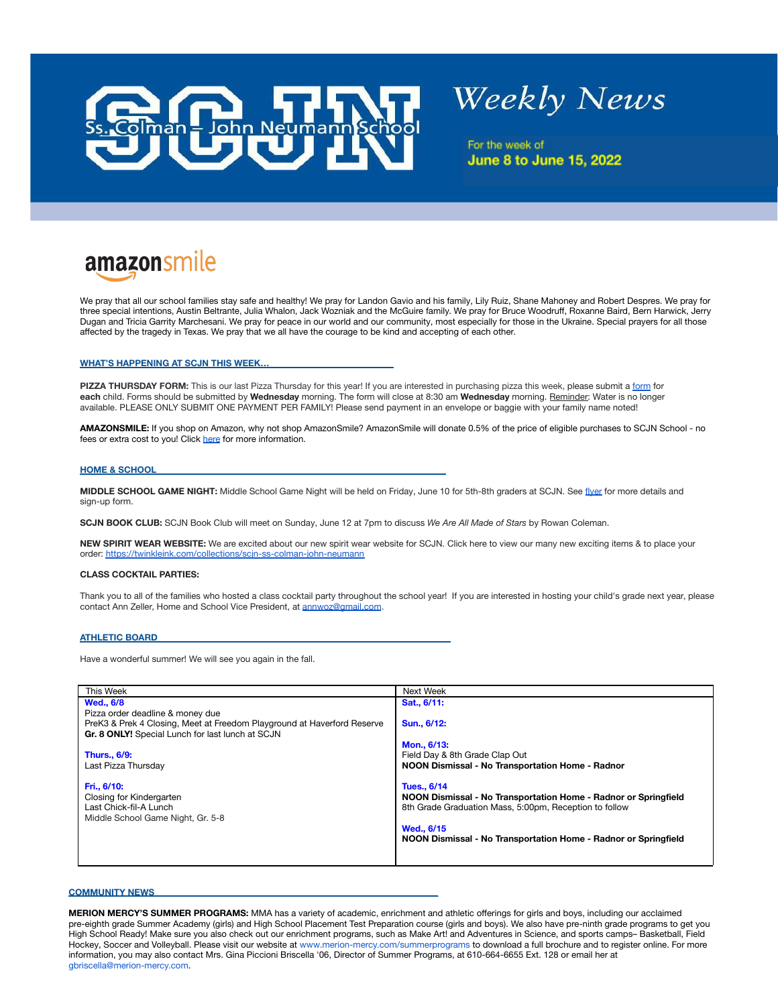

# **Weekly News**

For the week of **June 8 to June 15, 2022** 

# **amazonsmile**

We pray that all our school families stay safe and healthy! We pray for Landon Gavio and his family, Lily Ruiz, Shane Mahoney and Robert Despres. We pray for three special intentions, Austin Beltrante, Julia Whalon, Jack Wozniak and the McGuire family. We pray for Bruce Woodruff, Roxanne Baird, Bern Harwick, Jerry Dugan and Tricia Garrity Marchesani. We pray for peace in our world and our community, most especially for those in the Ukraine. Special prayers for all those affected by the tragedy in Texas. We pray that we all have the courage to be kind and accepting of each other.

#### **WHAT'S HAPPENING AT SCJN THIS WEEK…\_\_\_\_\_\_\_\_\_\_\_\_\_\_\_\_\_\_\_\_\_\_\_\_\_\_\_\_**

**PIZZA THURSDAY FORM:** This is our last Pizza Thursday for this year! If you are interested in purchasing pizza this week, please submit a [form](https://docs.google.com/forms/d/e/1FAIpQLSf5QPDa_OO04q4awFambsPdea-HXaGHZfv-3uOBgPNTqUrxJQ/viewform?usp=sf_link) for **each** child. Forms should be submitted by **Wednesday** morning. The form will close at 8:30 am **Wednesday** morning. Reminder: Water is no longer available. PLEASE ONLY SUBMIT ONE PAYMENT PER FAMILY! Please send payment in an envelope or baggie with your family name noted!

**AMAZONSMILE:** If you shop on Amazon, why not shop AmazonSmile? AmazonSmile will donate 0.5% of the price of eligible purchases to SCJN School - no fees or extra cost to you! Click [here](http://www.optionc.com/public/downloadfile.asp?file=53716) for more information.

#### **HOME & SCHOOL\_\_\_\_\_\_\_\_\_\_\_\_\_\_\_\_\_\_\_\_\_\_\_\_\_\_\_\_\_\_\_\_\_\_\_\_\_\_\_\_\_\_\_\_\_\_\_\_\_\_\_\_\_\_\_\_\_\_\_\_\_\_\_\_\_**

**MIDDLE SCHOOL GAME NIGHT:** Middle School Game Night will be held on Friday, June 10 for 5th-8th graders at SCJN. See [flyer](http://www.optionc.com/public/downloadfile.asp?file=61160) for more details and sign-up form.

**SCJN BOOK CLUB:** SCJN Book Club will meet on Sunday, June 12 at 7pm to discuss *We Are All Made of Stars* by Rowan Coleman.

**NEW SPIRIT WEAR WEBSITE:** We are excited about our new spirit wear website for SCJN. Click here to view our many new exciting items & to place your order: [https://twinkleink.com/collections/scjn-ss-colman-john-neumann](https://clickthrough.mysecurelinks.net/ls/click?upn=4Gztg6ERIzSJLqZvV0oOgs-2Bek5j1dVLTdh-2FdxRGOFOEHP8-2Bb7dMlX5Rv8iw4W9gHNeBGg64yVxkPCqHAQBTH-2Bt8E75GASP1HCDMXzrf3bNk-3D_Sk6_vM-2FUv-2F9vnjXuDRlhM8PA-2B67EmQiuU0XTiFDjlqn-2B9MQcYrgecOLKo7LMbN5rACF0kOvOCg7V5SQBu30YPA0LxDIg737XGpwWFNfL2uRKKNXtgT9IV56SfZN9DO8o1nruckaLvkWC1yQcsSTERx2oIcdjB4I8Et-2FhE-2B9JVn3V8bxLJX2xGADFa-2FFzl-2FGvMAdprhRRfu8kDoDoEcgczDa2QxlttxJbLjGtTcfzefRfV7q91vT0NPLjs1Mnd5Ie-2FkdOc-2FVyYVCyi-2Fb65QkqevKiRxbqS6jidULZrzrvLr5PUa7jEBrdk1ZAP7FwjGd8eDIYeaQ4Lq8OuJl7FWAzdUmjiRe3u9-2FdROAFXUdrWdQSWF-2B3YDztRLDMHn8IDjLWwOErrf-2FeuEe8sLQKPSq5AQtEDe9mLFDcM-2FwrPQ9Ogm6rOj8-3D)

#### **CLASS COCKTAIL PARTIES:**

Thank you to all of the families who hosted a class cocktail party throughout the school year! If you are interested in hosting your child's grade next year, please contact Ann Zeller, Home and School Vice President, at [annwoz@gmail.com](mailto:annwoz@gmail.com).

#### **ATHLETIC BOARD\_\_\_\_\_\_\_\_\_\_\_\_\_\_\_\_\_\_\_\_\_\_\_\_\_\_\_\_\_\_\_\_\_\_\_\_\_\_\_\_\_\_\_\_\_\_\_\_\_\_\_\_\_\_\_\_\_\_\_\_\_\_\_\_\_\_**

Have a wonderful summer! We will see you again in the fall.

| This Week                                                               | <b>Next Week</b>                                                |
|-------------------------------------------------------------------------|-----------------------------------------------------------------|
| <b>Wed., 6/8</b>                                                        | Sat., 6/11:                                                     |
| Pizza order deadline & money due                                        |                                                                 |
| PreK3 & Prek 4 Closing, Meet at Freedom Playground at Haverford Reserve | Sun., 6/12:                                                     |
| Gr. 8 ONLY! Special Lunch for last lunch at SCJN                        |                                                                 |
|                                                                         | Mon., 6/13:                                                     |
| <b>Thurs., 6/9:</b>                                                     | Field Day & 8th Grade Clap Out                                  |
| Last Pizza Thursday                                                     | NOON Dismissal - No Transportation Home - Radnor                |
|                                                                         |                                                                 |
| Fri., 6/10:                                                             | <b>Tues., 6/14</b>                                              |
| Closing for Kindergarten                                                | NOON Dismissal - No Transportation Home - Radnor or Springfield |
| Last Chick-fil-A Lunch                                                  | 8th Grade Graduation Mass, 5:00pm, Reception to follow          |
| Middle School Game Night, Gr. 5-8                                       |                                                                 |
|                                                                         | Wed., 6/15                                                      |
|                                                                         | NOON Dismissal - No Transportation Home - Radnor or Springfield |
|                                                                         |                                                                 |
|                                                                         |                                                                 |

#### **COMMUNITY NEWS\_\_\_\_\_\_\_\_\_\_\_\_\_\_\_\_\_\_\_\_\_\_\_\_\_\_\_\_\_\_\_\_\_\_\_\_\_\_\_\_\_\_\_\_\_\_\_\_\_\_\_\_\_\_\_\_\_\_\_\_\_\_\_\_**

**MERION MERCY'S SUMMER PROGRAMS:** MMA has a variety of academic, enrichment and athletic offerings for girls and boys, including our acclaimed pre-eighth grade Summer Academy (girls) and High School Placement Test Preparation course (girls and boys). We also have pre-ninth grade programs to get you High School Ready! Make sure you also check out our enrichment programs, such as Make Art! and Adventures in Science, and sports camps– Basketball, Field Hockey, Soccer and Volleyball. Please visit our website at [www.merion-mercy.com/summerprograms](http://www.merion-mercy.com/summerprograms) to download a full brochure and to register online. For more information, you may also contact Mrs. Gina Piccioni Briscella '06, Director of Summer Programs, at 610-664-6655 Ext. 128 or email her at gbriscella@merion-mercy.com.